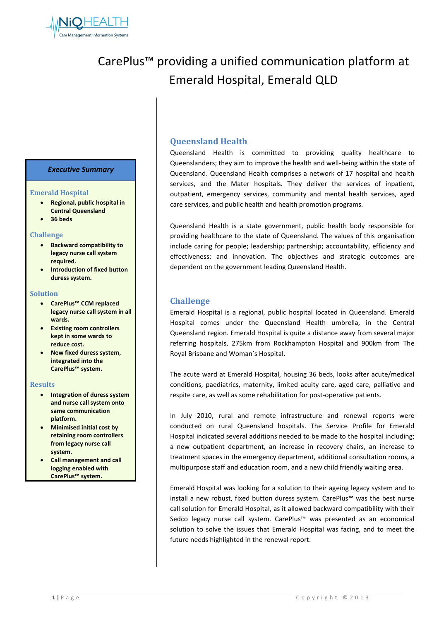

# CarePlus™ providing a unified communication platform at Emerald Hospital, Emerald QLD

## *Executive Summary*

#### **Emerald Hospital**

- **Regional, public hospital in Central Queensland**
- **36 beds**

#### **Challenge**

- **Backward compatibility to legacy nurse call system required.**
- **Introduction of fixed button duress system.**

#### **Solution**

- **CarePlus™ CCM replaced legacy nurse call system in all wards.**
- **Existing room controllers kept in some wards to reduce cost.**
- **New fixed duress system, integrated into the CarePlus™ system.**

#### **Results**

- **Integration of duress system and nurse call system onto same communication platform.**
- **Minimised initial cost by retaining room controllers from legacy nurse call system.**
- **Call management and call logging enabled with CarePlus™ system.**

# **Queensland Health**

Queensland Health is committed to providing quality healthcare to Queenslanders; they aim to improve the health and well-being within the state of Queensland. Queensland Health comprises a network of 17 hospital and health services, and the Mater hospitals. They deliver the services of inpatient, outpatient, emergency services, community and mental health services, aged care services, and public health and health promotion programs.

Queensland Health is a state government, public health body responsible for providing healthcare to the state of Queensland. The values of this organisation include caring for people; leadership; partnership; accountability, efficiency and effectiveness; and innovation. The objectives and strategic outcomes are dependent on the government leading Queensland Health.

## **Challenge**

Emerald Hospital is a regional, public hospital located in Queensland. Emerald Hospital comes under the Queensland Health umbrella, in the Central Queensland region. Emerald Hospital is quite a distance away from several major referring hospitals, 275km from Rockhampton Hospital and 900km from The Royal Brisbane and Woman's Hospital.

The acute ward at Emerald Hospital, housing 36 beds, looks after acute/medical conditions, paediatrics, maternity, limited acuity care, aged care, palliative and respite care, as well as some rehabilitation for post-operative patients.

In July 2010, rural and remote infrastructure and renewal reports were conducted on rural Queensland hospitals. The Service Profile for Emerald Hospital indicated several additions needed to be made to the hospital including; a new outpatient department, an increase in recovery chairs, an increase to treatment spaces in the emergency department, additional consultation rooms, a multipurpose staff and education room, and a new child friendly waiting area.

Emerald Hospital was looking for a solution to their ageing legacy system and to install a new robust, fixed button duress system. CarePlus™ was the best nurse call solution for Emerald Hospital, as it allowed backward compatibility with their Sedco legacy nurse call system. CarePlus™ was presented as an economical solution to solve the issues that Emerald Hospital was facing, and to meet the future needs highlighted in the renewal report.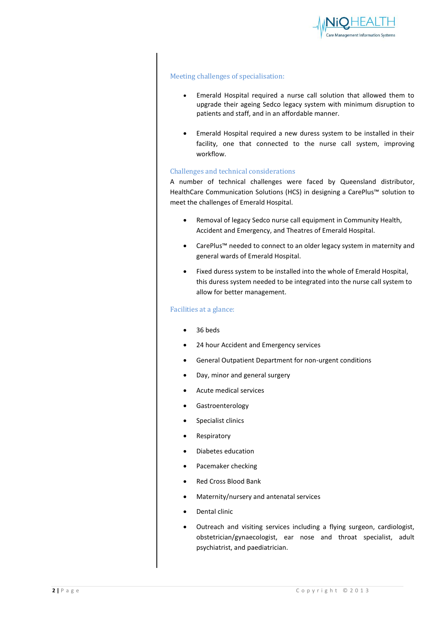

## Meeting challenges of specialisation:

- Emerald Hospital required a nurse call solution that allowed them to upgrade their ageing Sedco legacy system with minimum disruption to patients and staff, and in an affordable manner.
- Emerald Hospital required a new duress system to be installed in their facility, one that connected to the nurse call system, improving workflow.

### Challenges and technical considerations

A number of technical challenges were faced by Queensland distributor, HealthCare Communication Solutions (HCS) in designing a CarePlus™ solution to meet the challenges of Emerald Hospital.

- Removal of legacy Sedco nurse call equipment in Community Health, Accident and Emergency, and Theatres of Emerald Hospital.
- CarePlus™ needed to connect to an older legacy system in maternity and general wards of Emerald Hospital.
- Fixed duress system to be installed into the whole of Emerald Hospital, this duress system needed to be integrated into the nurse call system to allow for better management.

## Facilities at a glance:

- 36 beds
- 24 hour Accident and Emergency services
- General Outpatient Department for non-urgent conditions
- Day, minor and general surgery
- Acute medical services
- Gastroenterology
- Specialist clinics
- Respiratory
- Diabetes education
- Pacemaker checking
- Red Cross Blood Bank
- Maternity/nursery and antenatal services
- Dental clinic
- Outreach and visiting services including a flying surgeon, cardiologist, obstetrician/gynaecologist, ear nose and throat specialist, adult psychiatrist, and paediatrician.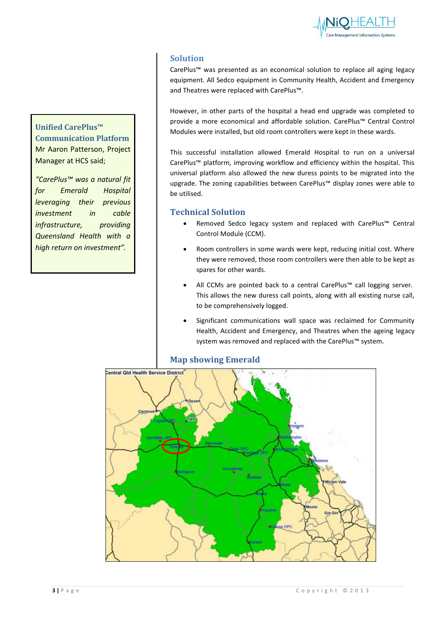

# **Solution**

CarePlus™ was presented as an economical solution to replace all aging legacy equipment. All Sedco equipment in Community Health, Accident and Emergency and Theatres were replaced with CarePlus™.

However, in other parts of the hospital a head end upgrade was completed to provide a more economical and affordable solution. CarePlus™ Central Control Modules were installed, but old room controllers were kept in these wards.

This successful installation allowed Emerald Hospital to run on a universal CarePlus™ platform, improving workflow and efficiency within the hospital. This universal platform also allowed the new duress points to be migrated into the upgrade. The zoning capabilities between CarePlus™ display zones were able to be utilised.

# **Technical Solution**

- Removed Sedco legacy system and replaced with CarePlus™ Central Control Module (CCM).
- Room controllers in some wards were kept, reducing initial cost. Where they were removed, those room controllers were then able to be kept as spares for other wards.
- All CCMs are pointed back to a central CarePlus™ call logging server. This allows the new duress call points, along with all existing nurse call, to be comprehensively logged.
- Significant communications wall space was reclaimed for Community Health, Accident and Emergency, and Theatres when the ageing legacy system was removed and replaced with the CarePlus™ system.



## **Map showing Emerald**

**Unified CarePlus™**

Manager at HCS said;

**Communication Platform** Mr Aaron Patterson, Project

*"CarePlus™ was a natural fit for Emerald Hospital leveraging their previous investment in cable infrastructure, providing Queensland Health with a high return on investment".*